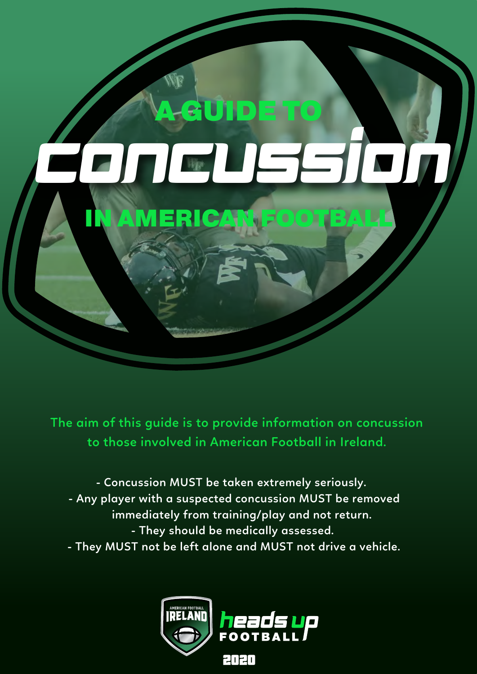

**The aim of this guide is to provide information on concussion to those involved in American Football in Ireland.** 

**- They MUST not be left alone and MUST not drive a vehicle. - They should be medically assessed. immediately from training/play and not return. - Any player with a suspected concussion MUST be removed - Concussion MUST be taken extremely seriously.**

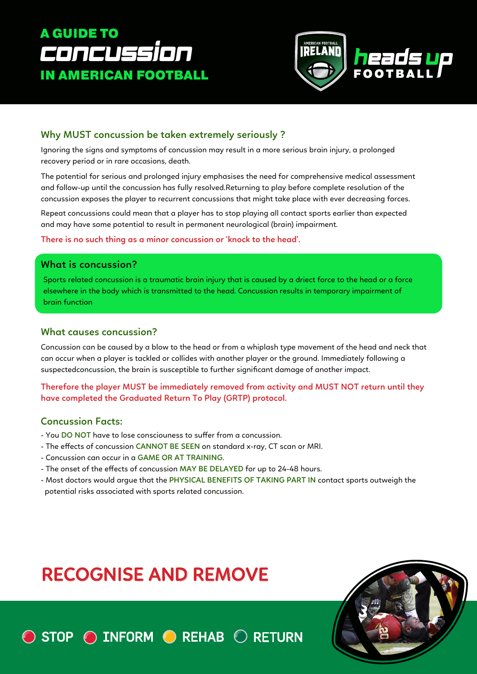### A GUIDE TO **Concussion** IN AMERICAN FOOTBALL



Ignoring the signs and symptoms of concussion may result in a more serious brain injury, a prolonged recovery period or in rare occasions, death.

The potential for serious and prolonged injury emphasises the need for comprehensive medical assessment and follow-up until the concussion has fully resolved.Returning to play before complete resolution of the concussion exposes the player to recurrent concussions that might take place with ever decreasing forces. Why MUST concussion be taken extremely seriously ?<br>
Ignoring the signs and symptoms of concussion may result in a more se<br>
recovery period or in rare occasions, death.<br>
The potential for serious and prolonged injury emphas

> Repeat concussions could mean that a player has to stop playing all contact sports earlier than expected and may have some potential to result in permanent neurological (brain) impairment.

**There is no such thing as a minor concussion or 'knock to the head'.**

#### **What is concussion?**

Sports related concussion is a traumatic brain injury that is caused by a driect force to the head or a force elsewhere in the body which is transmitted to the head. Concussion results in temporary impairment of brain function

#### **What causes concussion?**

Concussion can be caused by a blow to the head or from a whiplash type movement of the head and neck that can occur when a player is tackled or collides with another player or the ground. Immediately following a suspectedconcussion, the brain is susceptible to further significant damage of another impact.

**Therefore the player MUST be immediately removed from activity and MUST NOT return until they have completed the Graduated Return To Play (GRTP) protocol.**

#### **Concussion Facts:**

- You **DO NOT** have to lose consciouness to suffer from a concussion.
- The effects of concussion CANNOT BE SEEN on standard x-ray, CT scan or MRI.
- Concussion can occur in a **GAME OR AT TRAINING**.
- The onset of the effects of concussion MAY BE DELAYED for up to 24-48 hours.
- Most doctors would argue that the **PHYSICAL BENEFITS OF TAKING PART IN** contact sports outweigh the potential risks associated with sports related concussion.

# **RECOGNISE AND REMOVE**

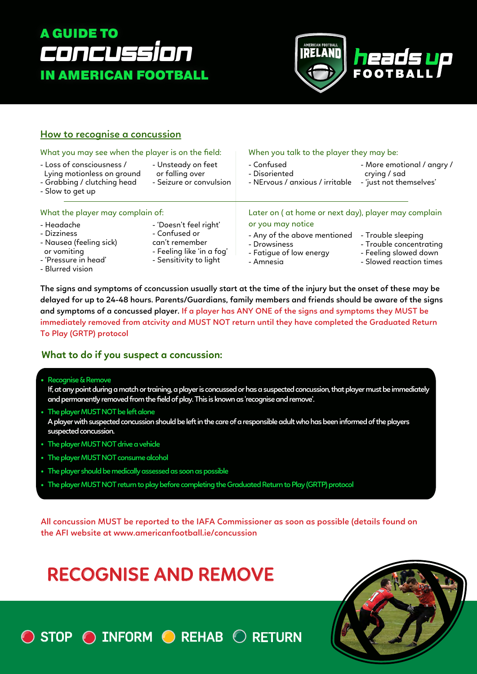### A GUIDE TO **CONCUSSION** IN AMERICAN FOOTBALL



#### **How to recognise a concussion**

| What you may see when the player is on the field:                                                               |                                                                                                                  | When you talk to the player they may be:                                                                                                                                                                       |                                                                       |  |
|-----------------------------------------------------------------------------------------------------------------|------------------------------------------------------------------------------------------------------------------|----------------------------------------------------------------------------------------------------------------------------------------------------------------------------------------------------------------|-----------------------------------------------------------------------|--|
| - Loss of consciousness /<br>Lying motionless on ground<br>- Grabbing / clutching head<br>- Slow to get up      | - Unsteady on feet<br>or falling over<br>- Seizure or convulsion                                                 | - Confused<br>- Disoriented<br>- NErvous / anxious / irritable                                                                                                                                                 | - More emotional / angry /<br>crying / sad<br>- 'just not themselves' |  |
| What the player may complain of:                                                                                |                                                                                                                  | Later on (at home or next day), player may complain                                                                                                                                                            |                                                                       |  |
| - Headache<br>- Dizziness<br>- Nausea (feeling sick)<br>or vomiting<br>- 'Pressure in head'<br>- Blurred vision | - 'Doesn't feel right'<br>- Confused or<br>can't remember<br>- Feeling like 'in a fog'<br>- Sensitivity to light | or you may notice<br>- Any of the above mentioned<br>- Trouble sleeping<br>- Trouble concentrating<br>- Drowsiness<br>- Feeling slowed down<br>- Fatigue of low energy<br>- Slowed reaction times<br>- Amnesia |                                                                       |  |

**The signs and symptoms of cconcussion usually start at the time of the injury but the onset of these may be delayed for up to 24-48 hours. Parents/Guardians, family members and friends should be aware of the signs and symptoms of a concussed player. If a player has ANY ONE of the signs and symptoms they MUST be immediately removed from atcivity and MUST NOT return until they have completed the Graduated Return To Play (GRTP) protocol**

#### **What to do if you suspect a concussion:**

**Recognise & Remove**

**If, at any point during a match or training, a player is concussed or has a suspected concussion, that player must be immediately and permanently removed from the field of play. This is known as 'recognise and remove'.**

- **The player MUST NOT be left alone A player with suspected concussion should be left in the care of a responsible adult who has been informed of the players suspected concussion.**
- **The player MUST NOT drive a vehicle**
- **The player MUST NOT consume alcohol**
- **The player should be medically assessed as soon as possible**
- **The player MUST NOT return to play before completing the Graduated Return to Play (GRTP) protocol**

**All concussion MUST be reported to the IAFA Commissioner as soon as possible (details found on the AFI website at www.americanfootball.ie/concussion**

# **RECOGNISE AND REMOVE**

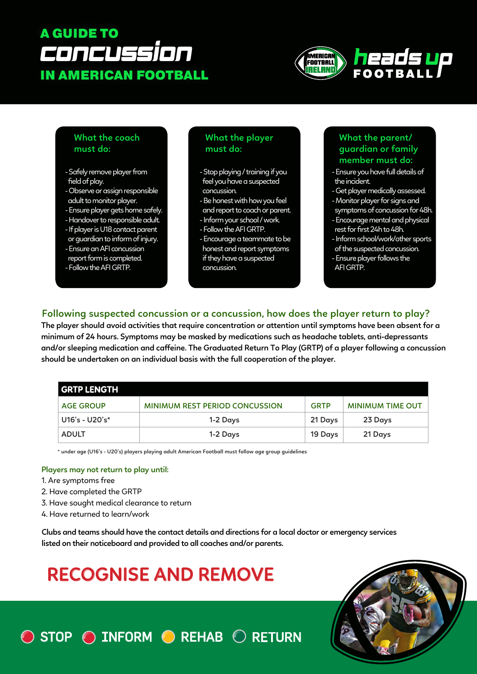### A GUIDE TO CONCUSSION IN AMERICAN FOOTBALL



#### **What the coach must do:**

- Safely remove player from field of play.
- Observe or assign responsible adult to monitor player.
- Ensure player gets home safely.
- Handover to responsible adult.
- If player is U18 contact parent
- or guardian to inform of injury.
- Ensure an AFI concussion
- report form is completed.
- Follow the AFI GRTP.

#### **What the player must do:**

- Stop playing / training if you feel you have a suspected concussion.
- Be honest with how you feel and report to coach or parent.
- Inform your school / work.
- Follow the AFI GRTP.
- Encourage a teammate to be honest and report symptoms if they have a suspected concussion.

#### **What the parent/ guardian or family member must do:**

- Ensure you have full details of the incident.
- Get player medically assessed.
- Monitor player for signs and symptoms of concussion for 48h.
- Encourage mental and physical rest for first 24h to 48h.
- Inform school/work/other sports of the suspected concussion. - Ensure player follows the AFI GRTP.

#### **Following suspected concussion or a concussion, how does the player return to play?**

**The player should avoid activities that require concentration or attention until symptoms have been absent for a minimum of 24 hours. Symptoms may be masked by medications such as headache tablets, anti-depressants and/or sleeping medication and caeine. The Graduated Return To Play (GRTP) of a player following a concussion should be undertaken on an individual basis with the full cooperation of the player.**

| <b>GRTP LENGTH</b> |                                       |             |                         |  |
|--------------------|---------------------------------------|-------------|-------------------------|--|
| <b>AGE GROUP</b>   | <b>MINIMUM REST PERIOD CONCUSSION</b> | <b>GRTP</b> | <b>MINIMUM TIME OUT</b> |  |
| $U16's - U20's*$   | 1-2 Days                              | 21 Days     | 23 Days                 |  |
| <b>ADULT</b>       | 1-2 Days                              | 19 Days     | 21 Days                 |  |

**\* under age (U16's - U20's) players playing adult American Football must follow age group guidelines**

#### **Players may not return to play until:**

- 1. Are symptoms free
- 2. Have completed the GRTP
- 3. Have sought medical clearance to return
- 4. Have returned to learn/work

**Clubs and teams should have the contact details and directions for a local doctor or emergency services listed on their noticeboard and provided to all coaches and/or parents.**

# **RECOGNISE AND REMOVE**

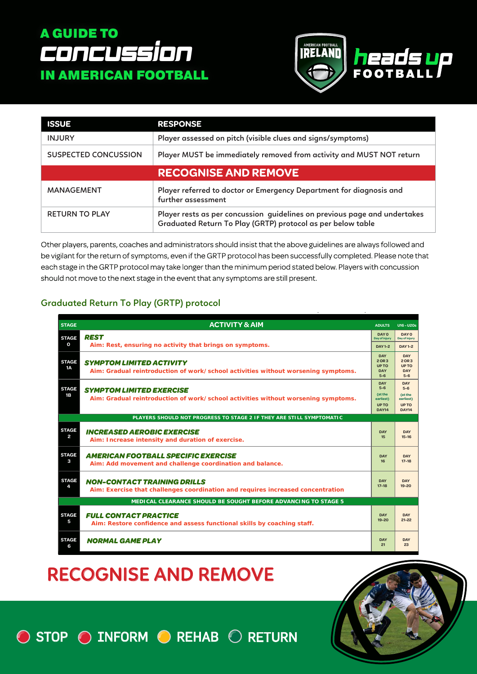### A GUIDE TO CONCUSSION IN AMERICAN FOOTBALL



| <b>ISSUE</b>                | <b>RESPONSE</b>                                                                                                                          |  |
|-----------------------------|------------------------------------------------------------------------------------------------------------------------------------------|--|
| <b>INJURY</b>               | Player assessed on pitch (visible clues and signs/symptoms)                                                                              |  |
| <b>SUSPECTED CONCUSSION</b> | Player MUST be immediately removed from activity and MUST NOT return                                                                     |  |
|                             | <b>RECOGNISE AND REMOVE</b>                                                                                                              |  |
| MANAGEMENT                  | Player referred to doctor or Emergency Department for diagnosis and<br>further assessment                                                |  |
| <b>RETURN TO PLAY</b>       | Player rests as per concussion guidelines on previous page and undertakes<br>Graduated Return To Play (GRTP) protocol as per below table |  |

Other players, parents, coaches and administrators should insist that the above guidelines are always followed and be vigilant for the return of symptoms, even if the GRTP protocol has been successfully completed. Please note that each stage in the GRTP protocol may take longer than the minimum period stated below. Players with concussion should not move to the next stage in the event that any symptoms are still present.

#### **Graduated Return To Play (GRTP) protocol**

| <b>STAGE</b>                                                   | <b>ACTIVITY &amp; AIM</b>                                                                                            | <b>ADULTS</b>                                                                     | $U16 - U20s$                                                                         |  |  |
|----------------------------------------------------------------|----------------------------------------------------------------------------------------------------------------------|-----------------------------------------------------------------------------------|--------------------------------------------------------------------------------------|--|--|
|                                                                | <b>REST</b>                                                                                                          | DAY 0                                                                             | DAY 0                                                                                |  |  |
| <b>STAGE</b>                                                   | Aim: Rest, ensuring no activity that brings on symptoms.                                                             | Day of injury                                                                     | Day of injury                                                                        |  |  |
| O                                                              |                                                                                                                      | <b>DAY 1-2</b>                                                                    | <b>DAY1-2</b>                                                                        |  |  |
| <b>STAGE</b><br><b>1A</b>                                      | <b>SYMPTOM LIMITED ACTIVITY</b><br>Aim: Gradual reintroduction of work/school activities without worsening symptoms. | <b>DAY</b><br>2 OR 3<br><b>UPTO</b><br><b>DAY</b><br>$5-6$                        | DAY<br>$2$ OR $3$<br><b>UP TO</b><br><b>DAY</b><br>$5 - 6$                           |  |  |
| <b>STAGE</b><br>1B                                             | <b>SYMPTOM LIMITED EXERCISE</b><br>Aim: Gradual reintroduction of work/school activities without worsening symptoms. | <b>DAY</b><br>$5-6$<br><b>Cat the</b><br>earliest)<br><b>UPTO</b><br><b>DAY14</b> | DAY<br>$5 - 6$<br><b><i><u>Cat the</u></i></b><br>earliest)<br>UP TO<br><b>DAY14</b> |  |  |
|                                                                | PLAYERS SHOULD NOT PROGRESS TO STAGE 2 IF THEY ARE STILL SYMPTOMATIC                                                 |                                                                                   |                                                                                      |  |  |
| <b>STAGE</b>                                                   | <b>INCREASED AEROBIC EXERCISE</b>                                                                                    | <b>DAY</b>                                                                        | <b>DAY</b>                                                                           |  |  |
| $\overline{a}$                                                 | Aim: Increase intensity and duration of exercise.                                                                    | 15                                                                                | $15 - 16$                                                                            |  |  |
| <b>STAGE</b>                                                   | <b>AMERICAN FOOTBALL SPECIFIC EXERCISE</b>                                                                           | <b>DAY</b>                                                                        | <b>DAY</b>                                                                           |  |  |
| з                                                              | Aim: Add movement and challenge coordination and balance.                                                            | 16                                                                                | $17-18$                                                                              |  |  |
| <b>STAGE</b>                                                   | <b>NON-CONTACT TRAINING DRILLS</b>                                                                                   | <b>DAY</b>                                                                        | <b>DAY</b>                                                                           |  |  |
| 4                                                              | Aim: Exercise that challenges coordination and requires increased concentration                                      | $17 - 18$                                                                         | $19 - 20$                                                                            |  |  |
| MEDICAL CLEARANCE SHOULD BE SOUGHT BEFORE ADVANCING TO STAGE 5 |                                                                                                                      |                                                                                   |                                                                                      |  |  |
| <b>STAGE</b>                                                   | <b>FULL CONTACT PRACTICE</b>                                                                                         | <b>DAY</b>                                                                        | DAY                                                                                  |  |  |
| 5                                                              | Aim: Restore confidence and assess functional skills by coaching staff.                                              | $19 - 20$                                                                         | $21 - 22$                                                                            |  |  |
| <b>STAGE</b>                                                   | <b>NORMAL GAME PLAY</b>                                                                                              | <b>DAY</b>                                                                        | <b>DAY</b>                                                                           |  |  |
| 6                                                              |                                                                                                                      | 21                                                                                | 23                                                                                   |  |  |

## **RECOGNISE AND REMOVE**